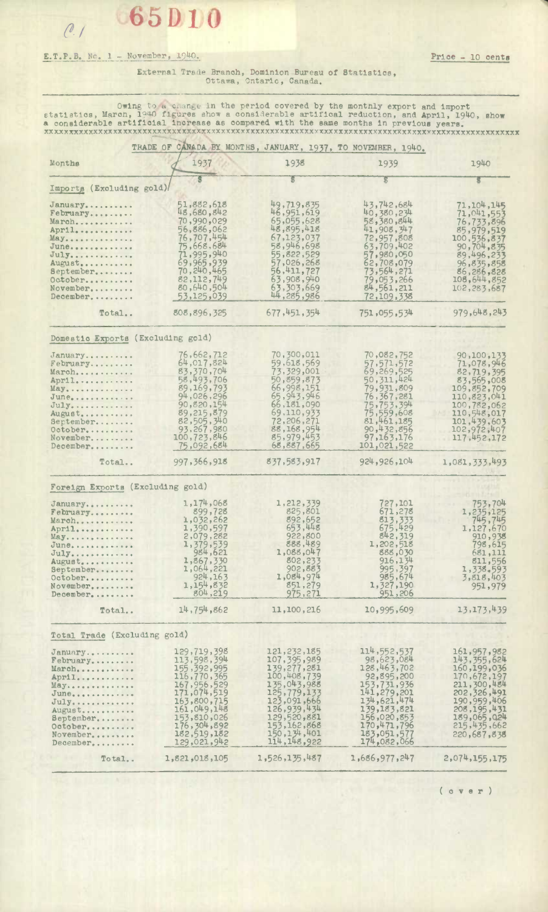## E.T.P.B. No. 1 - November, 1940. **Price - 10 cents**

## External Trade Branch, Dominion Bureau of Statistics, Ottawa, Ontario, Canada.

Owing to a change in the period covered by the montnly export and import statistics, March, 1940 figures show a considerable artifical reduction, and April, 1940, show a considerable artificial increase as compared with the same months in previous years. **XXXXXXXXXXXXXXXX XXXXXXXXXXXXXXxXXXXX XXXXXXXXXXXXXXXXXXXXXXX XXXXXXXXXXXXXXXXXXXXXXXXXXXXXXXXXXXXXX** 

| TRADE OF CANADA BY MONTHS, JANUARY, 1937, TO NOVEMBER, 1940. |                            |                            |                            |                              |
|--------------------------------------------------------------|----------------------------|----------------------------|----------------------------|------------------------------|
| Monthe                                                       | 1937                       | 1938                       | 1939                       | 1940                         |
| Imports (Excluding gold)                                     |                            | S                          | S                          |                              |
| January                                                      | 51,882,618<br>48,680,842   | 49,719,835<br>46,951,619   | 43,742,684                 | 71,104,145                   |
| February<br>March                                            | 70,990,029                 | 65,055,628                 | 40,380,234<br>58,380,844   | 71,041,553<br>76,733,896     |
| April                                                        | 56,886,062                 | 48,895,418                 | 41,908,347                 | 85,979,519                   |
| May                                                          | 76,707,454                 | 67,123,037                 | 72,957,808                 | 100,536,837                  |
| June                                                         | 75,668,684                 | 58,946,698                 | 63,709,402                 | 90,704,835                   |
| $July$                                                       | 71,995,940                 | 55,822,529                 | 57,980,050                 | 89,496,233                   |
| August<br>September                                          | 69,965,939<br>70,240,465   | 57,026,268<br>56, 411, 727 | 62,708,079<br>73,564,271   | 96,835,858<br>86,286,828     |
| October.                                                     | 82,112,749                 | 63,908,940                 | 79,053,266                 | 108,644,852                  |
| November                                                     | 80,640,504                 | 63,303,669                 | 84,561,211                 | 102,283,687                  |
| December                                                     | 53,125,039                 | 44,285,986                 | 72,109,338                 |                              |
| Total                                                        | 808,896,325                | 677, 451, 354              | 751,055,534                | 979,648,243                  |
| Domestic Exports (Excluding gold)                            |                            |                            |                            |                              |
| January                                                      | 76,662,712                 | 70,300,011                 | 70,082,752                 | 90,100,133                   |
| February                                                     | 64,017,824                 | 59,618,569                 | 57,571,572                 | 71,078,946                   |
| March                                                        | 83,370,704                 | 73,329,001                 | 69,269,525                 | 82,719,395                   |
| April                                                        | 58,493,706                 | 50,859,873                 | 50, 311, 424               | 83,565,008                   |
| May                                                          | 89,169,793                 | 66,998,151                 | 79,931,809                 | 109,852,709                  |
| June                                                         | 94,026,296<br>90,820,154   | 65, 943, 946<br>66,181,090 | 76, 367, 281<br>75,753,394 | 110,823,041                  |
| Ju1y<br>August                                               | 89,215,879                 | 69,110,933                 |                            | 100,782,062<br>110,548,017   |
| September                                                    | 82,505,340                 | 72,206,271                 | 75,559,608<br>81,461,185   | 101, 439, 603                |
| October                                                      | 93,267,980                 | 88,168,954                 | 90,432,856                 | 102,972,407                  |
| November                                                     | 100,723,846                | 85,979,453                 | 97,163,176                 | 117,452,172                  |
| $December, \ldots \ldots$                                    | 75,092,684                 | 68,887,665                 | 101,021,522                |                              |
| Total                                                        | 997,366,918                | 837,583,917                | 924, 926, 104              | 1,081,333,493                |
| Foreign Exports (Excluding gold)                             |                            |                            |                            |                              |
| January                                                      | 1,174,068                  | 1,212,339                  | 727,101                    | 753,704                      |
| February                                                     | 899,728                    | 825,801                    | 671,278                    | 1, 235, 125                  |
| March                                                        | 1,032,262                  | 892,652                    | 813,333                    | 745,745                      |
| $Apr11$<br>$\text{May} \ldots \ldots \ldots \ldots \ldots$   | 1,390,597<br>2,079,282     | 653,448<br>922,800         | 675,429<br>842,319         | 1,127,670<br>910,938         |
| June                                                         | 1,379,539                  | 888,489                    | 1,202,518                  | 798,615                      |
| Ju1y                                                         | 984,621                    | 1,088,047                  | 888,030                    | 681,111                      |
| August                                                       | 1,867,330                  | 802,233                    | 916,134                    | 811,556                      |
| September                                                    | 1,064,221<br>924,163       | 902,883<br>1,084,974       | 995,397                    | 1,338.593                    |
| October<br>November                                          | 1,154,832                  | 851,279                    | 985,674<br>1,327,190       | 3,818,403<br>951,979         |
| December                                                     | 804,219                    | 975,271                    | 951,206                    |                              |
| Total                                                        | 14,754,862                 | 11,100,216                 | 10,995,609                 | 13, 173, 439                 |
| Total Trade (Excluding gold)                                 |                            |                            |                            |                              |
| January                                                      | 129,719,398                | 121, 232, 185              | 114,552,537                | 161,957,982                  |
| February                                                     | 113,598,394                | 107, 395, 989              | 98,623,084                 | 143, 355, 624                |
| March                                                        | 155, 392, 995              | 139,277,281                | 128, 463, 702              | 160, 199, 036                |
| April                                                        | 116,770,365                | 100,408,739                | 92,895,200                 | 170,672,197                  |
| May                                                          | 167, 956, 529              | 135,043,988                | 153,731,936                | 211,300,484                  |
| June                                                         | 171,074,519<br>163,800,715 | 125,779,133<br>123,091,666 | 141,279,201<br>134,621,474 | 202, 326, 491<br>190,959,406 |
| $July \dots \dots \dots \dots$<br>August                     | 161,049,148                | 126,939,434                | 139,183,821                | 208, 195, 431                |
| September                                                    | 153,810,026                | 129,520,881                | 156,020,853                | 189,065,024                  |
| October                                                      | 176,304,892                | 153, 162, 868              | 170,471,796                | 215, 435, 662                |
| November                                                     | 182,519,182                | 150, 134, 401              | 183,051,577                | 220,687,838                  |
| December                                                     | 129,021,942                | 114, 148, 922              | 174,082,066                |                              |
| Total                                                        | 1,821,018,105              | 1,526,135,487              | 1,686,977,247              | 2,074,155,175                |

( o **v e r** )